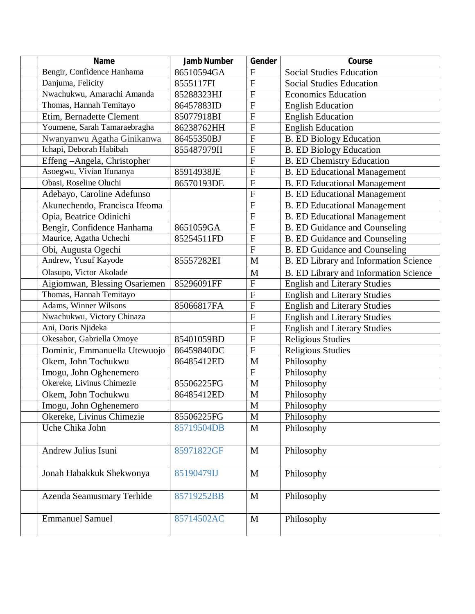| <b>Name</b>                   | <b>Jamb Number</b> | Gender         | Course                                |
|-------------------------------|--------------------|----------------|---------------------------------------|
| Bengir, Confidence Hanhama    | 86510594GA         | $\mathbf{F}$   | <b>Social Studies Education</b>       |
| Danjuma, Felicity             | 8555117FI          | $\overline{F}$ | <b>Social Studies Education</b>       |
| Nwachukwu, Amarachi Amanda    | 85288323HJ         | $\mathbf F$    | <b>Economics Education</b>            |
| Thomas, Hannah Temitayo       | 86457883ID         | $\mathbf F$    | <b>English Education</b>              |
| Etim, Bernadette Clement      | 85077918BI         | $\overline{F}$ | <b>English Education</b>              |
| Youmene, Sarah Tamaraebragha  | 86238762HH         | $\mathbf F$    | <b>English Education</b>              |
| Nwanyanwu Agatha Ginikanwa    | 86455350BJ         | $\overline{F}$ | <b>B.</b> ED Biology Education        |
| Ichapi, Deborah Habibah       | 855487979II        | ${\bf F}$      | <b>B.</b> ED Biology Education        |
| Effeng-Angela, Christopher    |                    | $\overline{F}$ | <b>B.</b> ED Chemistry Education      |
| Asoegwu, Vivian Ifunanya      | 85914938JE         | $\overline{F}$ | <b>B. ED Educational Management</b>   |
| Obasi, Roseline Oluchi        | 86570193DE         | $\overline{F}$ | <b>B. ED Educational Management</b>   |
| Adebayo, Caroline Adefunso    |                    | $\overline{F}$ | <b>B. ED Educational Management</b>   |
| Akunechendo, Francisca Ifeoma |                    | ${\bf F}$      | <b>B. ED Educational Management</b>   |
| Opia, Beatrice Odinichi       |                    | $\mathbf F$    | <b>B. ED Educational Management</b>   |
| Bengir, Confidence Hanhama    | 8651059GA          | $\mathbf F$    | <b>B. ED Guidance and Counseling</b>  |
| Maurice, Agatha Uchechi       | 85254511FD         | $\mathbf F$    | <b>B.</b> ED Guidance and Counseling  |
| Obi, Augusta Ogechi           |                    | $\mathbf F$    | <b>B. ED Guidance and Counseling</b>  |
| Andrew, Yusuf Kayode          | 85557282EI         | M              | B. ED Library and Information Science |
| Olasupo, Victor Akolade       |                    | M              | B. ED Library and Information Science |
| Aigiomwan, Blessing Osariemen | 85296091FF         | $\overline{F}$ | <b>English and Literary Studies</b>   |
| Thomas, Hannah Temitayo       |                    | $\mathbf F$    | <b>English and Literary Studies</b>   |
| Adams, Winner Wilsons         | 85066817FA         | $\overline{F}$ | English and Literary Studies          |
| Nwachukwu, Victory Chinaza    |                    | $\mathbf F$    | <b>English and Literary Studies</b>   |
| Ani, Doris Njideka            |                    | $\overline{F}$ | <b>English and Literary Studies</b>   |
| Okesabor, Gabriella Omoye     | 85401059BD         | $\overline{F}$ | <b>Religious Studies</b>              |
| Dominic, Emmanuella Utewuojo  | 86459840DC         | $\mathbf{F}$   | Religious Studies                     |
| Okem, John Tochukwu           | 86485412ED         | M              | Philosophy                            |
| Imogu, John Oghenemero        |                    | $\overline{F}$ | Philosophy                            |
| Okereke, Livinus Chimezie     | 85506225FG         | M              | Philosophy                            |
| Okem, John Tochukwu           | 86485412ED         | $\mathbf M$    | Philosophy                            |
| Imogu, John Oghenemero        |                    | M              | Philosophy                            |
| Okereke, Livinus Chimezie     | 85506225FG         | $\mathbf{M}$   | Philosophy                            |
| Uche Chika John               | 85719504DB         | $\mathbf{M}$   | Philosophy                            |
| Andrew Julius Isuni           | 85971822GF         | $\mathbf{M}$   | Philosophy                            |
|                               |                    |                |                                       |
| Jonah Habakkuk Shekwonya      | 85190479IJ         | $\mathbf{M}$   | Philosophy                            |
| Azenda Seamusmary Terhide     | 85719252BB         | $\mathbf{M}$   | Philosophy                            |
| <b>Emmanuel Samuel</b>        | 85714502AC         | M              | Philosophy                            |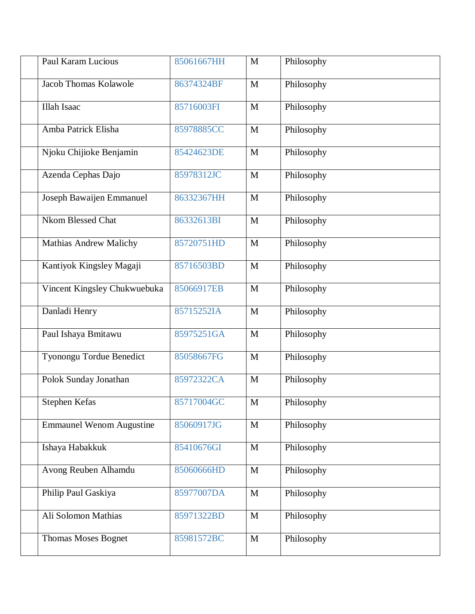| <b>Paul Karam Lucious</b>       | 85061667HH | M            | Philosophy |
|---------------------------------|------------|--------------|------------|
| Jacob Thomas Kolawole           | 86374324BF | M            | Philosophy |
| <b>Illah Isaac</b>              | 85716003FI | $\mathbf M$  | Philosophy |
| Amba Patrick Elisha             | 85978885CC | $\mathbf M$  | Philosophy |
| Njoku Chijioke Benjamin         | 85424623DE | M            | Philosophy |
| Azenda Cephas Dajo              | 85978312JC | $\mathbf M$  | Philosophy |
| Joseph Bawaijen Emmanuel        | 86332367HH | $\mathbf M$  | Philosophy |
| <b>Nkom Blessed Chat</b>        | 86332613BI | $\mathbf M$  | Philosophy |
| <b>Mathias Andrew Malichy</b>   | 85720751HD | $\mathbf{M}$ | Philosophy |
| Kantiyok Kingsley Magaji        | 85716503BD | $\mathbf M$  | Philosophy |
| Vincent Kingsley Chukwuebuka    | 85066917EB | $\mathbf M$  | Philosophy |
| Danladi Henry                   | 85715252IA | $\mathbf M$  | Philosophy |
| Paul Ishaya Bmitawu             | 85975251GA | $\mathbf M$  | Philosophy |
| Tyonongu Tordue Benedict        | 85058667FG | $\mathbf{M}$ | Philosophy |
| Polok Sunday Jonathan           | 85972322CA | $\mathbf M$  | Philosophy |
| Stephen Kefas                   | 85717004GC | M            | Philosophy |
| <b>Emmaunel Wenom Augustine</b> | 85060917JG | $\mathbf{M}$ | Philosophy |
| Ishaya Habakkuk                 | 85410676GI | $\mathbf{M}$ | Philosophy |
| Avong Reuben Alhamdu            | 85060666HD | $\mathbf{M}$ | Philosophy |
| Philip Paul Gaskiya             | 85977007DA | M            | Philosophy |
| Ali Solomon Mathias             | 85971322BD | $\mathbf M$  | Philosophy |
| Thomas Moses Bognet             | 85981572BC | $\mathbf{M}$ | Philosophy |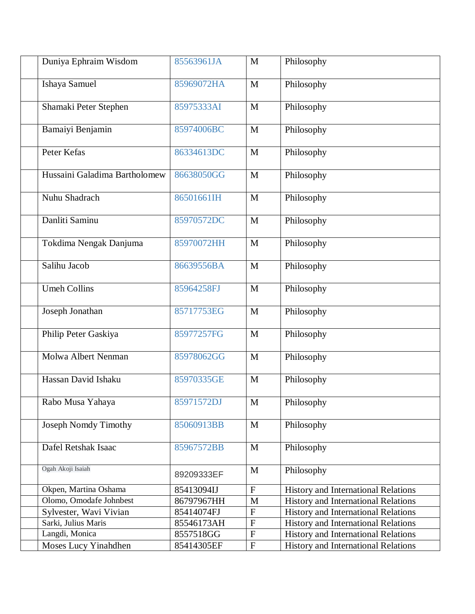| Duniya Ephraim Wisdom         | 85563961JA | $\mathbf{M}$ | Philosophy                                 |
|-------------------------------|------------|--------------|--------------------------------------------|
| Ishaya Samuel                 | 85969072HA | M            | Philosophy                                 |
| Shamaki Peter Stephen         | 85975333AI | $\mathbf{M}$ | Philosophy                                 |
| Bamaiyi Benjamin              | 85974006BC | $\mathbf{M}$ | Philosophy                                 |
| Peter Kefas                   | 86334613DC | $\mathbf{M}$ | Philosophy                                 |
| Hussaini Galadima Bartholomew | 86638050GG | $\mathbf M$  | Philosophy                                 |
| Nuhu Shadrach                 | 86501661IH | M            | Philosophy                                 |
| Danliti Saminu                | 85970572DC | $\mathbf M$  | Philosophy                                 |
| Tokdima Nengak Danjuma        | 85970072HH | M            | Philosophy                                 |
| Salihu Jacob                  | 86639556BA | $\mathbf M$  | Philosophy                                 |
| <b>Umeh Collins</b>           | 85964258FJ | $\mathbf M$  | Philosophy                                 |
| Joseph Jonathan               | 85717753EG | $\mathbf{M}$ | Philosophy                                 |
| Philip Peter Gaskiya          | 85977257FG | $\mathbf M$  | Philosophy                                 |
| Molwa Albert Nenman           | 85978062GG | $\mathbf{M}$ | Philosophy                                 |
| Hassan David Ishaku           | 85970335GE | $\mathbf M$  | Philosophy                                 |
| Rabo Musa Yahaya              | 85971572DJ | $\mathbf M$  | Philosophy                                 |
| Joseph Nomdy Timothy          | 85060913BB | $\mathbf{M}$ | Philosophy                                 |
| Dafel Retshak Isaac           | 85967572BB | $\mathbf{M}$ | Philosophy                                 |
| Ogah Akoji Isaiah             | 89209333EF | M            | Philosophy                                 |
| Okpen, Martina Oshama         | 85413094IJ | $\mathbf{F}$ | <b>History and International Relations</b> |
| Olomo, Omodafe Johnbest       | 86797967HH | $\mathbf M$  | <b>History and International Relations</b> |
| Sylvester, Wavi Vivian        | 85414074FJ | $\mathbf F$  | <b>History and International Relations</b> |
| Sarki, Julius Maris           | 85546173AH | ${\bf F}$    | <b>History and International Relations</b> |
| Langdi, Monica                | 8557518GG  | ${\bf F}$    | History and International Relations        |
| Moses Lucy Yinahdhen          | 85414305EF | ${\bf F}$    | History and International Relations        |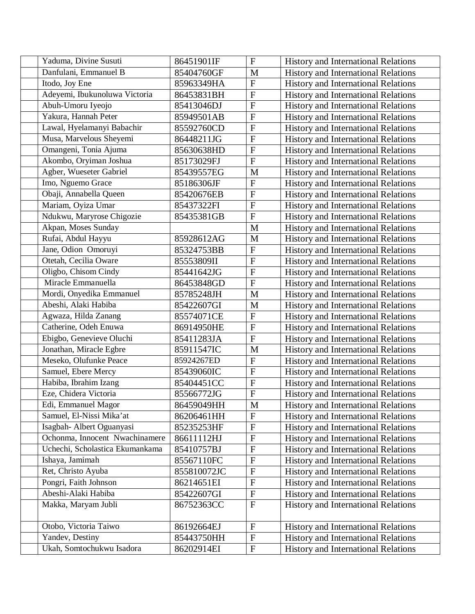| Yaduma, Divine Susuti           | 86451901IF  | $\mathbf F$           | <b>History and International Relations</b> |
|---------------------------------|-------------|-----------------------|--------------------------------------------|
| Danfulani, Emmanuel B           | 85404760GF  | $\mathbf M$           | History and International Relations        |
| Itodo, Joy Ene                  | 85963349HA  | $\overline{F}$        | <b>History and International Relations</b> |
| Adeyemi, Ibukunoluwa Victoria   | 86453831BH  | $\mathbf F$           | <b>History and International Relations</b> |
| Abuh-Umoru Iyeojo               | 85413046DJ  | $\overline{F}$        | History and International Relations        |
| Yakura, Hannah Peter            | 85949501AB  | $\overline{F}$        | History and International Relations        |
| Lawal, Hyelamanyi Babachir      | 85592760CD  | $\overline{F}$        | <b>History and International Relations</b> |
| Musa, Marvelous Sheyemi         | 86448211JG  | $\overline{F}$        | <b>History and International Relations</b> |
| Omangeni, Tonia Ajuma           | 85630638HD  | $\overline{F}$        | <b>History and International Relations</b> |
| Akombo, Oryiman Joshua          | 85173029FJ  | $\overline{F}$        | History and International Relations        |
| Agber, Wueseter Gabriel         | 85439557EG  | M                     | <b>History and International Relations</b> |
| Imo, Nguemo Grace               | 85186306JF  | $\overline{F}$        | <b>History and International Relations</b> |
| Obaji, Annabella Queen          | 85420676EB  | $\mathbf F$           | History and International Relations        |
| Mariam, Oyiza Umar              | 85437322FI  | $\mathbf F$           | <b>History and International Relations</b> |
| Ndukwu, Maryrose Chigozie       | 85435381GB  | ${\bf F}$             | History and International Relations        |
| Akpan, Moses Sunday             |             | M                     | <b>History and International Relations</b> |
| Rufai, Abdul Hayyu              | 85928612AG  | M                     | History and International Relations        |
| Jane, Odion Omoruyi             | 85324753BB  | ${\bf F}$             | History and International Relations        |
| Otetah, Cecilia Oware           | 85553809II  | $\overline{F}$        | History and International Relations        |
| Oligbo, Chisom Cindy            | 85441642JG  | $\mathbf F$           | <b>History and International Relations</b> |
| Miracle Emmanuella              | 86453848GD  | ${\bf F}$             | <b>History and International Relations</b> |
| Mordi, Onyedika Emmanuel        | 85785248JH  | M                     | History and International Relations        |
| Abeshi, Alaki Habiba            | 85422607GI  | M                     | History and International Relations        |
| Agwaza, Hilda Zanang            | 85574071CE  | $\overline{F}$        | <b>History and International Relations</b> |
| Catherine, Odeh Enuwa           | 86914950HE  | $\mathbf{F}$          | History and International Relations        |
| Ebigbo, Genevieve Oluchi        | 85411283JA  | ${\bf F}$             | History and International Relations        |
| Jonathan, Miracle Egbre         | 85911547IC  | M                     | History and International Relations        |
| Meseko, Olufunke Peace          | 85924267ED  | $\mathbf{F}$          | History and International Relations        |
| Samuel, Ebere Mercy             | 85439060IC  | $\overline{F}$        | <b>History and International Relations</b> |
| Habiba, Ibrahim Izang           | 85404451CC  | ${\bf F}$             | <b>History and International Relations</b> |
| Eze, Chidera Victoria           | 85566772JG  | ${\bf F}$             | History and International Relations        |
| Edi, Emmanuel Magor             | 86459049HH  | $\overline{\text{M}}$ | History and International Relations        |
| Samuel, El-Nissi Mika'at        | 86206461HH  | ${\bf F}$             | <b>History and International Relations</b> |
| Isagbah- Albert Oguanyasi       | 85235253HF  | ${\bf F}$             | <b>History and International Relations</b> |
| Ochonma, Innocent Nwachinamere  | 86611112HJ  | $\mathbf F$           | <b>History and International Relations</b> |
| Uchechi, Scholastica Ekumankama | 85410757BJ  | ${\bf F}$             | History and International Relations        |
| Ishaya, Jamimah                 | 85567110FC  | $\mathbf F$           | <b>History and International Relations</b> |
| Ret, Christo Ayuba              | 855810072JC | ${\bf F}$             | <b>History and International Relations</b> |
| Pongri, Faith Johnson           | 86214651EI  | $\mathbf F$           | History and International Relations        |
| Abeshi-Alaki Habiba             | 85422607GI  | ${\bf F}$             | <b>History and International Relations</b> |
| Makka, Maryam Jubli             | 86752363CC  | $\mathbf{F}$          | <b>History and International Relations</b> |
| Otobo, Victoria Taiwo           | 86192664EJ  | $\mathbf F$           | <b>History and International Relations</b> |
| Yandev, Destiny                 | 85443750HH  | ${\bf F}$             | <b>History and International Relations</b> |
| Ukah, Somtochukwu Isadora       | 86202914EI  | ${\bf F}$             | History and International Relations        |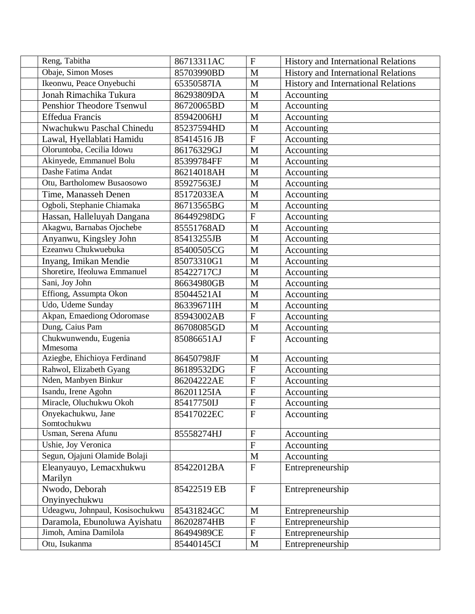| Reng, Tabitha                                         | 86713311AC  | $\mathbf{F}$               | <b>History and International Relations</b> |
|-------------------------------------------------------|-------------|----------------------------|--------------------------------------------|
| Obaje, Simon Moses                                    | 85703990BD  | M                          | <b>History and International Relations</b> |
| Ikeonwu, Peace Onyebuchi                              | 65350587IA  | M                          | <b>History and International Relations</b> |
| Jonah Rimachika Tukura                                | 86293809DA  | M                          | Accounting                                 |
| Penshior Theodore Tsenwul                             | 86720065BD  | M                          | Accounting                                 |
| <b>Effedua Francis</b>                                | 85942006HJ  | M                          | Accounting                                 |
| Nwachukwu Paschal Chinedu                             | 85237594HD  | M                          | Accounting                                 |
| Lawal, Hyellablati Hamidu                             | 85414516 JB | ${\bf F}$                  | Accounting                                 |
| Oloruntoba, Cecilia Idowu                             | 86176329GJ  | M                          | Accounting                                 |
| Akinyede, Emmanuel Bolu                               | 85399784FF  | M                          | Accounting                                 |
| Dashe Fatima Andat                                    | 86214018AH  | M                          | Accounting                                 |
| Otu, Bartholomew Busaosowo                            | 85927563EJ  | M                          | Accounting                                 |
| Time, Manasseh Denen                                  | 85172033EA  | $\mathbf{M}$               | Accounting                                 |
| Ogboli, Stephanie Chiamaka                            | 86713565BG  | M                          | Accounting                                 |
| Hassan, Halleluyah Dangana                            | 86449298DG  | $\boldsymbol{\mathrm{F}}$  | Accounting                                 |
| Akagwu, Barnabas Ojochebe                             | 85551768AD  | M                          | Accounting                                 |
| Anyanwu, Kingsley John                                | 85413255JB  | M                          | Accounting                                 |
| Ezeanwu Chukwuebuka                                   | 85400505CG  | $\mathbf{M}$               | Accounting                                 |
| Inyang, Imikan Mendie                                 | 85073310G1  | $\mathbf{M}$               | Accounting                                 |
| Shoretire, Ifeoluwa Emmanuel                          | 85422717CJ  | M                          | Accounting                                 |
| Sani, Joy John                                        | 86634980GB  | M                          | Accounting                                 |
| Effiong, Assumpta Okon                                | 85044521AI  | M                          | Accounting                                 |
| Udo, Udeme Sunday                                     | 86339671IH  | M                          | Accounting                                 |
| Akpan, Emaediong Odoromase                            | 85943002AB  | $\overline{F}$             | Accounting                                 |
| Dung, Caius Pam                                       | 86708085GD  | M                          | Accounting                                 |
| Chukwunwendu, Eugenia                                 | 85086651AJ  | $\overline{F}$             | Accounting                                 |
| Mmesoma                                               |             |                            |                                            |
| Aziegbe, Ehichioya Ferdinand                          | 86450798JF  | M                          | Accounting                                 |
| Rahwol, Elizabeth Gyang                               | 86189532DG  | $\overline{F}$             | Accounting                                 |
| Nden, Manbyen Binkur                                  | 86204222AE  | $\mathbf F$                | Accounting                                 |
| Isandu, Irene Agohn                                   | 86201125IA  | ${\bf F}$                  | Accounting                                 |
| Miracle, Oluchukwu Okoh                               | 85417750IJ  | $\overline{F}$             | Accounting                                 |
| Onyekachukwu, Jane                                    | 85417022EC  | $\mathbf{F}$               | Accounting                                 |
| Somtochukwu                                           |             |                            |                                            |
| Usman, Serena Afunu                                   | 85558274HJ  | $\boldsymbol{\mathrm{F}}$  | Accounting                                 |
| Ushie, Joy Veronica                                   |             | $\overline{F}$             | Accounting                                 |
| Segun, Ojajuni Olamide Bolaji                         |             | M                          | Accounting                                 |
| Eleanyauyo, Lemacxhukwu                               | 85422012BA  | $\mathbf{F}$               | Entrepreneurship                           |
| Marilyn                                               |             |                            |                                            |
| Nwodo, Deborah                                        | 85422519 EB | $\boldsymbol{\mathrm{F}}$  | Entrepreneurship                           |
| Onyinyechukwu<br>Udeagwu, Johnpaul, Kosisochukwu      |             |                            |                                            |
|                                                       | 85431824GC  | $\mathbf M$<br>$\mathbf F$ | Entrepreneurship                           |
| Daramola, Ebunoluwa Ayishatu<br>Jimoh, Amina Damilola | 86202874HB  | ${\bf F}$                  | Entrepreneurship                           |
|                                                       | 86494989CE  |                            | Entrepreneurship                           |
| Otu, Isukanma                                         | 85440145CI  | $\mathbf M$                | Entrepreneurship                           |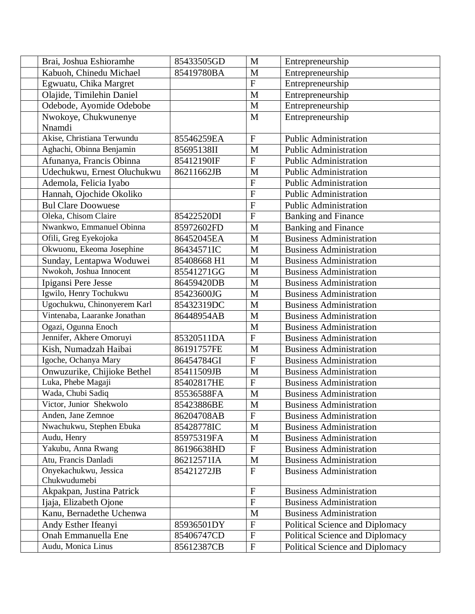| Brai, Joshua Eshioramhe      | 85433505GD  | M                         | Entrepreneurship                |
|------------------------------|-------------|---------------------------|---------------------------------|
| Kabuoh, Chinedu Michael      | 85419780BA  | M                         | Entrepreneurship                |
| Egwuatu, Chika Margret       |             | ${\bf F}$                 | Entrepreneurship                |
| Olajide, Timilehin Daniel    |             | M                         | Entrepreneurship                |
| Odebode, Ayomide Odebobe     |             | M                         | Entrepreneurship                |
| Nwokoye, Chukwunenye         |             | M                         | Entrepreneurship                |
| Nnamdi                       |             |                           |                                 |
| Akise, Christiana Terwundu   | 85546259EA  | $\mathbf{F}$              | <b>Public Administration</b>    |
| Aghachi, Obinna Benjamin     | 85695138II  | M                         | <b>Public Administration</b>    |
| Afunanya, Francis Obinna     | 85412190IF  | $\overline{F}$            | <b>Public Administration</b>    |
| Udechukwu, Ernest Oluchukwu  | 86211662JB  | M                         | <b>Public Administration</b>    |
| Ademola, Felicia Iyabo       |             | $\mathbf{F}$              | <b>Public Administration</b>    |
| Hannah, Ojochide Okoliko     |             | $\overline{F}$            | <b>Public Administration</b>    |
| <b>Bul Clare Doowuese</b>    |             | ${\bf F}$                 | <b>Public Administration</b>    |
| Oleka, Chisom Claire         | 85422520DI  | $\mathbf F$               | <b>Banking and Finance</b>      |
| Nwankwo, Emmanuel Obinna     | 85972602FD  | M                         | <b>Banking and Finance</b>      |
| Ofili, Greg Eyekojoka        | 86452045EA  | M                         | <b>Business Administration</b>  |
| Okwuonu, Ekeoma Josephine    | 86434571IC  | M                         | <b>Business Administration</b>  |
| Sunday, Lentapwa Woduwei     | 85408668 H1 | M                         | <b>Business Administration</b>  |
| Nwokoh, Joshua Innocent      | 85541271GG  | M                         | <b>Business Administration</b>  |
| Ipigansi Pere Jesse          | 86459420DB  | M                         | <b>Business Administration</b>  |
| Igwilo, Henry Tochukwu       | 85423600JG  | M                         | <b>Business Administration</b>  |
| Ugochukwu, Chinonyerem Karl  | 85432319DC  | M                         | <b>Business Administration</b>  |
| Vintenaba, Laaranke Jonathan | 86448954AB  | M                         | <b>Business Administration</b>  |
| Ogazi, Ogunna Enoch          |             | M                         | <b>Business Administration</b>  |
| Jennifer, Akhere Omoruyi     | 85320511DA  | $\overline{F}$            | <b>Business Administration</b>  |
| Kish, Numadzah Haibai        | 86191757FE  | M                         | <b>Business Administration</b>  |
| Igoche, Ochanya Mary         | 86454784GI  | $\overline{F}$            | <b>Business Administration</b>  |
| Onwuzurike, Chijioke Bethel  | 85411509JB  | M                         | <b>Business Administration</b>  |
| Luka, Phebe Magaji           | 85402817HE  | $\mathbf F$               | <b>Business Administration</b>  |
| Wada, Chubi Sadiq            | 85536588FA  | $\mathbf M$               | <b>Business Administration</b>  |
| Victor, Junior Shekwolo      | 85423886BE  | $\mathbf M$               | <b>Business Administration</b>  |
| Anden, Jane Zemnoe           | 86204708AB  | $\mathbf{F}$              | <b>Business Administration</b>  |
| Nwachukwu, Stephen Ebuka     | 85428778IC  | M                         | <b>Business Administration</b>  |
| Audu, Henry                  | 85975319FA  | M                         | <b>Business Administration</b>  |
| Yakubu, Anna Rwang           | 86196638HD  | $\mathbf F$               | <b>Business Administration</b>  |
| Atu, Francis Danladi         | 86212571IA  | $\mathbf M$               | <b>Business Administration</b>  |
| Onyekachukwu, Jessica        | 85421272JB  | $\mathbf{F}$              | <b>Business Administration</b>  |
| Chukwudumebi                 |             |                           |                                 |
| Akpakpan, Justina Patrick    |             | $\mathbf F$               | <b>Business Administration</b>  |
| Ijaja, Elizabeth Ojone       |             | $\boldsymbol{\mathrm{F}}$ | <b>Business Administration</b>  |
| Kanu, Bernadethe Uchenwa     |             | M                         | <b>Business Administration</b>  |
| Andy Esther Ifeanyi          | 85936501DY  | $\mathbf F$               | Political Science and Diplomacy |
| <b>Onah Emmanuella Ene</b>   | 85406747CD  | $\boldsymbol{\mathrm{F}}$ | Political Science and Diplomacy |
| Audu, Monica Linus           | 85612387CB  | ${\bf F}$                 | Political Science and Diplomacy |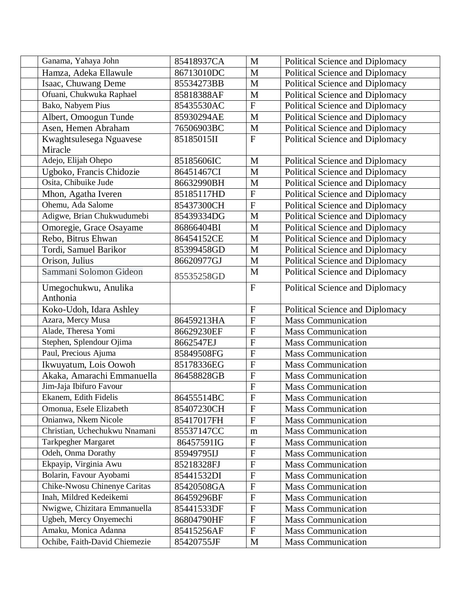| Ganama, Yahaya John                                   | 85418937CA | $\mathbf{M}$              | Political Science and Diplomacy                        |
|-------------------------------------------------------|------------|---------------------------|--------------------------------------------------------|
| Hamza, Adeka Ellawule                                 | 86713010DC | $\mathbf M$               | Political Science and Diplomacy                        |
| Isaac, Chuwang Deme                                   | 85534273BB | M                         | Political Science and Diplomacy                        |
| Ofuani, Chukwuka Raphael                              | 85818388AF | M                         | Political Science and Diplomacy                        |
| Bako, Nabyem Pius                                     | 85435530AC | $\overline{F}$            | Political Science and Diplomacy                        |
| Albert, Omoogun Tunde                                 | 85930294AE | M                         | Political Science and Diplomacy                        |
| Asen, Hemen Abraham                                   | 76506903BC | M                         | Political Science and Diplomacy                        |
| Kwaghtsulesega Nguavese                               | 85185015II | $\overline{F}$            | Political Science and Diplomacy                        |
| Miracle                                               |            |                           |                                                        |
| Adejo, Elijah Ohepo                                   | 85185606IC | $\mathbf M$               | Political Science and Diplomacy                        |
| Ugboko, Francis Chidozie                              | 86451467CI | $\mathbf{M}$              | Political Science and Diplomacy                        |
| Osita, Chibuike Jude                                  | 86632990BH | M                         | Political Science and Diplomacy                        |
| Mhon, Agatha Iveren                                   | 85185117HD | ${\bf F}$                 | Political Science and Diplomacy                        |
| Ohemu, Ada Salome                                     | 85437300CH | $\overline{\mathrm{F}}$   | Political Science and Diplomacy                        |
| Adigwe, Brian Chukwudumebi                            | 85439334DG | M                         | Political Science and Diplomacy                        |
| Omoregie, Grace Osayame                               | 86866404BI | $\mathbf{M}$              | Political Science and Diplomacy                        |
| Rebo, Bitrus Ehwan                                    | 86454152CE | M                         | Political Science and Diplomacy                        |
| Tordi, Samuel Barikor                                 | 85399458GD | M                         | Political Science and Diplomacy                        |
| Orison, Julius                                        | 86620977GJ | M                         | Political Science and Diplomacy                        |
| Sammani Solomon Gideon                                | 85535258GD | M                         | Political Science and Diplomacy                        |
| Umegochukwu, Anulika                                  |            | $\overline{F}$            | Political Science and Diplomacy                        |
| Anthonia                                              |            |                           |                                                        |
| Koko-Udoh, Idara Ashley                               |            | $\mathbf F$               | Political Science and Diplomacy                        |
| Azara, Mercy Musa                                     | 86459213HA | $\overline{F}$            | <b>Mass Communication</b>                              |
| Alade, Theresa Yomi                                   | 86629230EF | ${\bf F}$                 | <b>Mass Communication</b>                              |
| Stephen, Splendour Ojima                              | 8662547EJ  | ${\bf F}$                 | <b>Mass Communication</b>                              |
| Paul, Precious Ajuma                                  | 85849508FG | $\overline{\mathrm{F}}$   | <b>Mass Communication</b>                              |
| Ikwuyatum, Lois Oowoh                                 | 85178336EG | ${\bf F}$                 | <b>Mass Communication</b>                              |
| Akaka, Amarachi Emmanuella                            | 86458828GB | $\overline{F}$            | <b>Mass Communication</b>                              |
| Jim-Jaja Ibifuro Favour                               |            | ${\bf F}$                 | <b>Mass Communication</b>                              |
| Ekanem, Edith Fidelis                                 | 86455514BC | $\overline{F}$            | <b>Mass Communication</b>                              |
| Omonua, Esele Elizabeth                               | 85407230CH | ${\bf F}$                 | <b>Mass Communication</b>                              |
| Onianwa, Nkem Nicole                                  | 85417017FH | $\mathbf{F}$              | <b>Mass Communication</b>                              |
| Christian, Uchechukwu Nnamani                         | 85537147CC | m                         | <b>Mass Communication</b>                              |
| <b>Tarkpegher Margaret</b>                            | 86457591IG | ${\bf F}$                 | <b>Mass Communication</b>                              |
| Odeh, Onma Dorathy                                    | 85949795IJ | ${\bf F}$                 | <b>Mass Communication</b>                              |
| Ekpayip, Virginia Awu                                 | 85218328FJ | ${\bf F}$                 | <b>Mass Communication</b>                              |
| Bolarin, Favour Ayobami                               | 85441532DI | $\mathbf{F}$              | <b>Mass Communication</b>                              |
| Chike-Nwosu Chinenye Caritas                          |            | $\mathbf{F}$              | Mass Communication                                     |
|                                                       | 85420508GA |                           |                                                        |
| Inah, Mildred Kedeikemi                               | 86459296BF | $\boldsymbol{\mathrm{F}}$ | <b>Mass Communication</b>                              |
| Nwigwe, Chizitara Emmanuella                          | 85441533DF | ${\bf F}$                 | <b>Mass Communication</b>                              |
| Ugbeh, Mercy Onyemechi                                | 86804790HF | ${\bf F}$                 | <b>Mass Communication</b>                              |
| Amaku, Monica Adanna<br>Ochibe, Faith-David Chiemezie | 85415256AF | ${\bf F}$                 | <b>Mass Communication</b><br><b>Mass Communication</b> |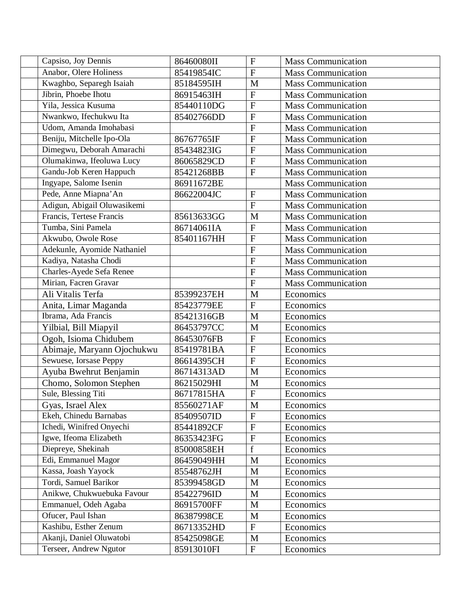| Capsiso, Joy Dennis         | 86460080II | $\mathbf{F}$              | <b>Mass Communication</b> |
|-----------------------------|------------|---------------------------|---------------------------|
| Anabor, Olere Holiness      | 85419854IC | $\mathbf F$               | <b>Mass Communication</b> |
| Kwaghbo, Separegh Isaiah    | 85184595IH | M                         | <b>Mass Communication</b> |
| Jibrin, Phoebe Ihotu        | 86915463IH | $\mathbf{F}$              | <b>Mass Communication</b> |
| Yila, Jessica Kusuma        | 85440110DG | $\overline{F}$            | <b>Mass Communication</b> |
| Nwankwo, Ifechukwu Ita      | 85402766DD | $\mathbf{F}$              | <b>Mass Communication</b> |
| Udom, Amanda Imohabasi      |            | ${\bf F}$                 | <b>Mass Communication</b> |
| Beniju, Mitchelle Ipo-Ola   | 86767765IF | $\overline{F}$            | <b>Mass Communication</b> |
| Dimegwu, Deborah Amarachi   | 85434823IG | $\mathbf{F}$              | <b>Mass Communication</b> |
| Olumakinwa, Ifeoluwa Lucy   | 86065829CD | $\overline{F}$            | <b>Mass Communication</b> |
| Gandu-Job Keren Happuch     | 85421268BB | $\overline{F}$            | <b>Mass Communication</b> |
| Ingyape, Salome Isenin      | 86911672BE |                           | <b>Mass Communication</b> |
| Pede, Anne Miapna' An       | 86622004JC | $\mathbf{F}$              | <b>Mass Communication</b> |
| Adigun, Abigail Oluwasikemi |            | $\overline{F}$            | <b>Mass Communication</b> |
| Francis, Tertese Francis    | 85613633GG | M                         | <b>Mass Communication</b> |
| Tumba, Sini Pamela          | 86714061IA | $\overline{F}$            | <b>Mass Communication</b> |
| Akwubo, Owole Rose          | 85401167HH | ${\bf F}$                 | <b>Mass Communication</b> |
| Adekunle, Ayomide Nathaniel |            | $\overline{F}$            | Mass Communication        |
| Kadiya, Natasha Chodi       |            | $\overline{F}$            | <b>Mass Communication</b> |
| Charles-Ayede Sefa Renee    |            | ${\bf F}$                 | <b>Mass Communication</b> |
| Mirian, Facren Gravar       |            | $\overline{F}$            | <b>Mass Communication</b> |
| Ali Vitalis Terfa           | 85399237EH | M                         | Economics                 |
| Anita, Limar Maganda        | 85423779EE | $\overline{F}$            | Economics                 |
| Ibrama, Ada Francis         | 85421316GB | M                         | Economics                 |
| Yilbial, Bill Miapyil       | 86453797CC | M                         | Economics                 |
| Ogoh, Isioma Chidubem       | 86453076FB | $\mathbf F$               | Economics                 |
| Abimaje, Maryann Ojochukwu  | 85419781BA | $\mathbf{F}$              | Economics                 |
| Sewuese, Iorsase Peppy      | 86614395CH | $\mathbf F$               | Economics                 |
| Ayuba Bwehrut Benjamin      | 86714313AD | M                         | Economics                 |
| Chomo, Solomon Stephen      | 86215029HI | M                         | Economics                 |
| Sule, Blessing Titi         | 86717815HA | ${\bf F}$                 | Economics                 |
| Gyas, Israel Alex           | 85560271AF | $\overline{\text{M}}$     | Economics                 |
| Ekeh, Chinedu Barnabas      | 85409507ID | $\boldsymbol{\mathrm{F}}$ | Economics                 |
| Ichedi, Winifred Onyechi    | 85441892CF | ${\bf F}$                 | Economics                 |
| Igwe, Ifeoma Elizabeth      | 86353423FG | $\mathbf F$               | Economics                 |
| Diepreye, Shekinah          | 85000858EH | $\mathbf f$               | Economics                 |
| Edi, Emmanuel Magor         | 86459049HH | M                         | Economics                 |
| Kassa, Joash Yayock         | 85548762JH | $\mathbf M$               | Economics                 |
| Tordi, Samuel Barikor       | 85399458GD | $\mathbf M$               | Economics                 |
| Anikwe, Chukwuebuka Favour  | 85422796ID | M                         | Economics                 |
| Emmanuel, Odeh Agaba        | 86915700FF | M                         | Economics                 |
| Ofucer, Paul Ishan          | 86387998CE | M                         | Economics                 |
| Kashibu, Esther Zenum       | 86713352HD | ${\bf F}$                 | Economics                 |
| Akanji, Daniel Oluwatobi    | 85425098GE | $\mathbf M$               | Economics                 |
| Terseer, Andrew Ngutor      | 85913010FI | $\mathbf F$               | Economics                 |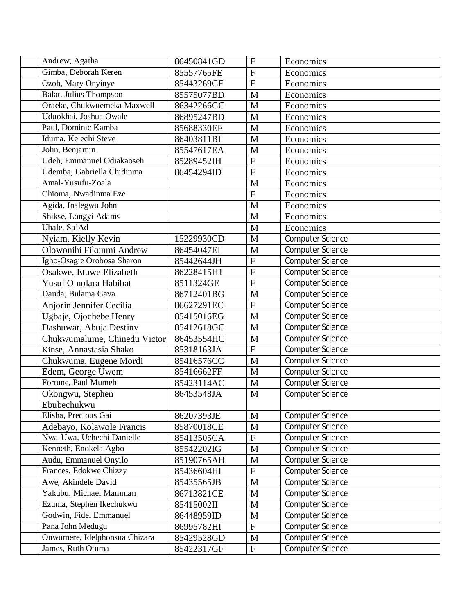| Andrew, Agatha                | 86450841GD | $\overline{F}$ | Economics               |
|-------------------------------|------------|----------------|-------------------------|
| Gimba, Deborah Keren          | 85557765FE | $\overline{F}$ | Economics               |
| Ozoh, Mary Onyinye            | 85443269GF | $\overline{F}$ | Economics               |
| Balat, Julius Thompson        | 85575077BD | M              | Economics               |
| Oraeke, Chukwuemeka Maxwell   | 86342266GC | M              | Economics               |
| Uduokhai, Joshua Owale        | 86895247BD | M              | Economics               |
| Paul, Dominic Kamba           | 85688330EF | M              | Economics               |
| Iduma, Kelechi Steve          | 86403811BI | M              | Economics               |
| John, Benjamin                | 85547617EA | M              | Economics               |
| Udeh, Emmanuel Odiakaoseh     | 85289452IH | $\mathbf F$    | Economics               |
| Udemba, Gabriella Chidinma    | 86454294ID | $\overline{F}$ | Economics               |
| Amal-Yusufu-Zoala             |            | M              | Economics               |
| Chioma, Nwadinma Eze          |            | $\overline{F}$ | Economics               |
| Agida, Inalegwu John          |            | M              | Economics               |
| Shikse, Longyi Adams          |            | M              | Economics               |
| Ubale, Sa'Ad                  |            | M              | Economics               |
| Nyiam, Kielly Kevin           | 15229930CD | M              | <b>Computer Science</b> |
| Olowonihi Fikunmi Andrew      | 86454047EI | M              | Computer Science        |
| Igho-Osagie Orobosa Sharon    | 85442644JH | $\overline{F}$ | <b>Computer Science</b> |
| Osakwe, Etuwe Elizabeth       | 86228415H1 | $\overline{F}$ | Computer Science        |
| Yusuf Omolara Habibat         | 8511324GE  | $\overline{F}$ | <b>Computer Science</b> |
| Dauda, Bulama Gava            | 86712401BG | M              | Computer Science        |
| Anjorin Jennifer Cecilia      | 86627291EC | ${\bf F}$      | Computer Science        |
| Ugbaje, Ojochebe Henry        | 85415016EG | $\mathbf{M}$   | <b>Computer Science</b> |
| Dashuwar, Abuja Destiny       | 85412618GC | M              | <b>Computer Science</b> |
| Chukwumalume, Chinedu Victor  | 86453554HC | M              | Computer Science        |
| Kinse, Annastasia Shako       | 85318163JA | $\mathbf{F}$   | Computer Science        |
| Chukwuma, Eugene Mordi        | 85416576CC | M              | <b>Computer Science</b> |
| Edem, George Uwem             | 85416662FF | M              | <b>Computer Science</b> |
| Fortune, Paul Mumeh           | 85423114AC | $\mathbf{M}$   | Computer Science        |
| Okongwu, Stephen              | 86453548JA | M              | <b>Computer Science</b> |
| Ebubechukwu                   |            |                |                         |
| Elisha, Precious Gai          | 86207393JE | M              | <b>Computer Science</b> |
| Adebayo, Kolawole Francis     | 85870018CE | $\mathbf{M}$   | <b>Computer Science</b> |
| Nwa-Uwa, Uchechi Danielle     | 85413505CA | $\mathbf F$    | Computer Science        |
| Kenneth, Enokela Agbo         | 85542202IG | $\mathbf M$    | <b>Computer Science</b> |
| Audu, Emmanuel Onyilo         | 85190765AH | M              | <b>Computer Science</b> |
| Frances, Edokwe Chizzy        | 85436604HI | ${\bf F}$      | Computer Science        |
| Awe, Akindele David           | 85435565JB | $\mathbf M$    | <b>Computer Science</b> |
| Yakubu, Michael Mamman        | 86713821CE | $\mathbf M$    | <b>Computer Science</b> |
| Ezuma, Stephen Ikechukwu      | 85415002II | $\mathbf M$    | <b>Computer Science</b> |
| Godwin, Fidel Emmanuel        | 86448959ID | $\mathbf M$    | <b>Computer Science</b> |
| Pana John Medugu              | 86995782HI | $\mathbf F$    | Computer Science        |
| Onwumere, Idelphonsua Chizara | 85429528GD | $\mathbf M$    | Computer Science        |
| James, Ruth Otuma             | 85422317GF | ${\bf F}$      | <b>Computer Science</b> |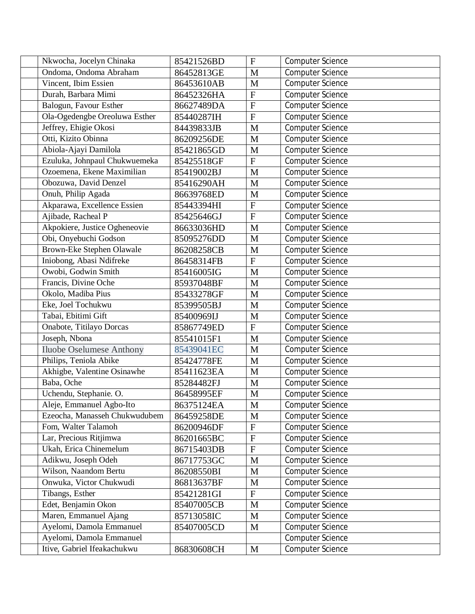| Nkwocha, Jocelyn Chinaka        | 85421526BD | $\mathbf{F}$              | <b>Computer Science</b> |
|---------------------------------|------------|---------------------------|-------------------------|
| Ondoma, Ondoma Abraham          | 86452813GE | M                         | <b>Computer Science</b> |
| Vincent, Ibim Essien            | 86453610AB | M                         | <b>Computer Science</b> |
| Durah, Barbara Mimi             | 86452326HA | $\mathbf{F}$              | Computer Science        |
| Balogun, Favour Esther          | 86627489DA | $\mathbf F$               | <b>Computer Science</b> |
| Ola-Ogedengbe Oreoluwa Esther   | 85440287IH | $\mathbf{F}$              | <b>Computer Science</b> |
| Jeffrey, Ehigie Okosi           | 84439833JB | M                         | Computer Science        |
| Otti, Kizito Obinna             | 86209256DE | M                         | <b>Computer Science</b> |
| Abiola-Ajayi Damilola           | 85421865GD | M                         | Computer Science        |
| Ezuluka, Johnpaul Chukwuemeka   | 85425518GF | $\overline{F}$            | <b>Computer Science</b> |
| Ozoemena, Ekene Maximilian      | 85419002BJ | M                         | Computer Science        |
| Obozuwa, David Denzel           | 85416290AH | M                         | Computer Science        |
| Onuh, Philip Agada              | 86639768ED | M                         | <b>Computer Science</b> |
| Akparawa, Excellence Essien     | 85443394HI | $\mathbf F$               | <b>Computer Science</b> |
| Ajibade, Racheal P              | 85425646GJ | $\overline{F}$            | Computer Science        |
| Akpokiere, Justice Ogheneovie   | 86633036HD | M                         | <b>Computer Science</b> |
| Obi, Onyebuchi Godson           | 85095276DD | M                         | <b>Computer Science</b> |
| Brown-Eke Stephen Olawale       | 86208258CB | M                         | Computer Science        |
| Iniobong, Abasi Ndifreke        | 86458314FB | $\overline{F}$            | <b>Computer Science</b> |
| Owobi, Godwin Smith             | 85416005IG | M                         | Computer Science        |
| Francis, Divine Oche            | 85937048BF | M                         | <b>Computer Science</b> |
| Okolo, Madiba Pius              | 85433278GF | M                         | Computer Science        |
| Eke, Joel Tochukwu              | 85399505BJ | M                         | <b>Computer Science</b> |
| Tabai, Ebitimi Gift             | 85400969IJ | M                         | <b>Computer Science</b> |
| Onabote, Titilayo Dorcas        | 85867749ED | $\mathbf{F}$              | <b>Computer Science</b> |
| Joseph, Nbona                   | 85541015F1 | M                         | <b>Computer Science</b> |
| <b>Iluobe Oselumese Anthony</b> | 85439041EC | M                         | Computer Science        |
| Philips, Teniola Abike          | 85424778FE | M                         | Computer Science        |
| Akhigbe, Valentine Osinawhe     | 85411623EA | M                         | <b>Computer Science</b> |
| Baba, Oche                      | 85284482FJ | M                         | <b>Computer Science</b> |
| Uchendu, Stephanie. O.          | 86458995EF | M                         | Computer Science        |
| Aleje, Emmanuel Agbo-Ito        | 86375124EA | $\overline{\text{M}}$     | Computer Science        |
| Ezeocha, Manasseh Chukwudubem   | 86459258DE | $\mathbf M$               | <b>Computer Science</b> |
| Fom, Walter Talamoh             | 86200946DF | ${\bf F}$                 | <b>Computer Science</b> |
| Lar, Precious Ritjimwa          | 86201665BC | $\mathbf F$               | <b>Computer Science</b> |
| Ukah, Erica Chinemelum          | 86715403DB | $\boldsymbol{\mathrm{F}}$ | <b>Computer Science</b> |
| Adikwu, Joseph Odeh             | 86717753GC | M                         | <b>Computer Science</b> |
| Wilson, Naandom Bertu           | 86208550BI | M                         | Computer Science        |
| Onwuka, Victor Chukwudi         | 86813637BF | $\mathbf M$               | <b>Computer Science</b> |
| Tibangs, Esther                 | 85421281GI | $\mathbf{F}$              | <b>Computer Science</b> |
| Edet, Benjamin Okon             | 85407005CB | M                         | <b>Computer Science</b> |
| Maren, Emmanuel Ajang           | 85713058IC | M                         | <b>Computer Science</b> |
| Ayelomi, Damola Emmanuel        | 85407005CD | M                         | Computer Science        |
| Ayelomi, Damola Emmanuel        |            |                           | <b>Computer Science</b> |
| Itive, Gabriel Ifeakachukwu     | 86830608CH | $\mathbf M$               | <b>Computer Science</b> |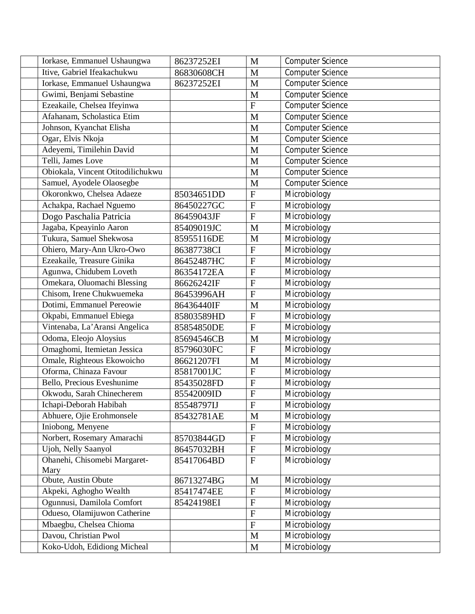| Iorkase, Emmanuel Ushaungwa       | 86237252EI | M              | <b>Computer Science</b> |
|-----------------------------------|------------|----------------|-------------------------|
| Itive, Gabriel Ifeakachukwu       | 86830608CH | M              | <b>Computer Science</b> |
| Iorkase, Emmanuel Ushaungwa       | 86237252EI | M              | <b>Computer Science</b> |
| Gwimi, Benjami Sebastine          |            | M              | <b>Computer Science</b> |
| Ezeakaile, Chelsea Ifeyinwa       |            | $\overline{F}$ | Computer Science        |
| Afahanam, Scholastica Etim        |            | M              | <b>Computer Science</b> |
| Johnson, Kyanchat Elisha          |            | M              | Computer Science        |
| Ogar, Elvis Nkoja                 |            | M              | <b>Computer Science</b> |
| Adeyemi, Timilehin David          |            | M              | Computer Science        |
| Telli, James Love                 |            | M              | Computer Science        |
| Obiokala, Vincent Otitodilichukwu |            | M              | Computer Science        |
| Samuel, Ayodele Olaosegbe         |            | M              | Computer Science        |
| Okoronkwo, Chelsea Adaeze         | 85034651DD | ${\bf F}$      | Microbiology            |
| Achakpa, Rachael Nguemo           | 86450227GC | $\mathbf{F}$   | Microbiology            |
| Dogo Paschalia Patricia           | 86459043JF | $\overline{F}$ | Microbiology            |
| Jagaba, Kpeayinlo Aaron           | 85409019JC | M              | Microbiology            |
| Tukura, Samuel Shekwosa           | 85955116DE | M              | Microbiology            |
| Ohiero, Mary-Ann Ukro-Owo         | 86387738CI | $\mathbf F$    | Microbiology            |
| Ezeakaile, Treasure Ginika        | 86452487HC | $\mathbf F$    | Microbiology            |
| Agunwa, Chidubem Loveth           | 86354172EA | $\mathbf F$    | Microbiology            |
| Omekara, Oluomachi Blessing       | 86626242IF | $\overline{F}$ | Microbiology            |
| Chisom, Irene Chukwuemeka         | 86453996AH | $\mathbf F$    | Microbiology            |
| Dotimi, Emmanuel Pereowie         | 86436440IF | M              | Microbiology            |
| Okpabi, Emmanuel Ebiega           | 85803589HD | $\mathbf F$    | Microbiology            |
| Vintenaba, La'Aransi Angelica     | 85854850DE | $\mathbf F$    | Microbiology            |
| Odoma, Eleojo Aloysius            | 85694546CB | M              | Microbiology            |
| Omaghomi, Itemietan Jessica       | 85796030FC | $\overline{F}$ | Microbiology            |
| Omale, Righteous Ekowoicho        | 86621207FI | M              | Microbiology            |
| Oforma, Chinaza Favour            | 85817001JC | $\overline{F}$ | Microbiology            |
| Bello, Precious Eveshunime        | 85435028FD | ${\bf F}$      | Microbiology            |
| Okwodu, Sarah Chinecherem         | 85542009ID | ${\bf F}$      | Microbiology            |
| Ichapi-Deborah Habibah            | 85548797IJ | $\overline{F}$ | Microbiology            |
| Abhuere, Ojie Erohmonsele         | 85432781AE | M              | Microbiology            |
| Iniobong, Menyene                 |            | ${\bf F}$      | Microbiology            |
| Norbert, Rosemary Amarachi        | 85703844GD | $\mathbf F$    | Microbiology            |
| <b>Ujoh, Nelly Saanyol</b>        | 86457032BH | ${\bf F}$      | Microbiology            |
| Ohanehi, Chisomebi Margaret-      | 85417064BD | ${\bf F}$      | Microbiology            |
| Mary                              |            |                |                         |
| Obute, Austin Obute               | 86713274BG | $\mathbf M$    | Microbiology            |
| Akpeki, Aghogho Wealth            | 85417474EE | ${\bf F}$      | Microbiology            |
| Ogunnusi, Damilola Comfort        | 85424198EI | ${\bf F}$      | Microbiology            |
| Odueso, Olamijuwon Catherine      |            | ${\bf F}$      | Microbiology            |
| Mbaegbu, Chelsea Chioma           |            | ${\bf F}$      | Microbiology            |
| Davou, Christian Pwol             |            | M              | Microbiology            |
| Koko-Udoh, Edidiong Micheal       |            | $\mathbf{M}$   | Microbiology            |